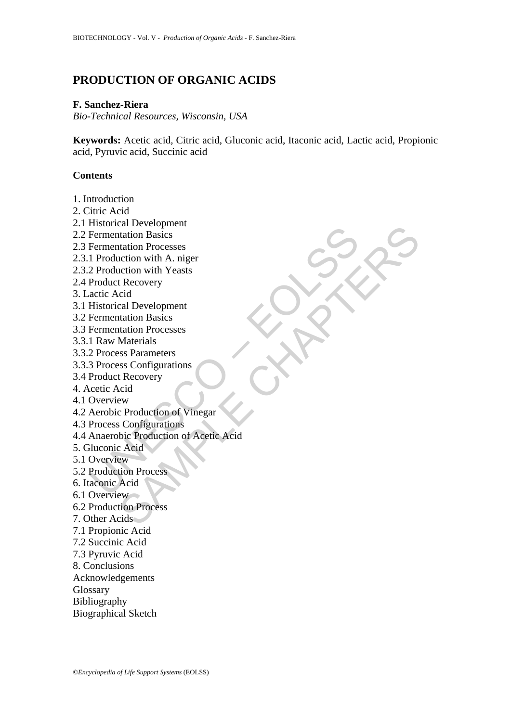# **PRODUCTION OF ORGANIC ACIDS**

### **F. Sanchez-Riera**

*Bio-Technical Resources, Wisconsin, USA* 

**Keywords:** Acetic acid, Citric acid, Gluconic acid, Itaconic acid, Lactic acid, Propionic acid, Pyruvic acid, Succinic acid

# **Contents**

1. Introduction

- 2. Citric Acid
- 2.1 Historical Development
- 2.2 Fermentation Basics
- 2.3 Fermentation Processes
- 2.3.1 Production with A. niger
- 2.3.2 Production with Yeasts
- 2.4 Product Recovery
- 3. Lactic Acid
- 3.1 Historical Development
- 3.2 Fermentation Basics
- 3.3 Fermentation Processes
- 3.3.1 Raw Materials
- 3.3.2 Process Parameters
- 3.3.3 Process Configurations
- 3.4 Product Recovery
- 4. Acetic Acid
- 4.1 Overview
- 4.2 Aerobic Production of Vinegar
- 4.3 Process Configurations
- Frementation Basics<br>
Fermentation Basics<br>
Fermentation Processes<br>
1 Production with A. niger<br>
2 Product Recovery<br>
actic Acid<br>
Atistorical Development<br>
Fermentation Basics<br>
Fermentation Basics<br>
Fermentation Basics<br>
Fermenta Excription<br>tataion Basies<br>tataion Processes<br>tection with A. niger<br>theorem with A. angle<br>tection with Yeasts<br> $\frac{1}{1}$ <br> $\frac{1}{1}$ <br> $\frac{1}{1}$ <br> $\frac{1}{1}$ <br> $\frac{1}{1}$ <br> $\frac{1}{1}$ <br> $\frac{1}{1}$ <br> $\frac{1}{1}$ <br> $\frac{1}{1}$ <br> $\frac{1}{1}$ <br> $\frac{1}{1}$ <br> $\frac{$ 4.4 Anaerobic Production of Acetic Acid
- 5. Gluconic Acid
- 5.1 Overview
- 5.2 Production Process
- 6. Itaconic Acid
- 6.1 Overview
- 6.2 Production Process
- 7. Other Acids
- 7.1 Propionic Acid
- 7.2 Succinic Acid
- 7.3 Pyruvic Acid
- 8. Conclusions
- Acknowledgements
- Glossary
- Bibliography
- Biographical Sketch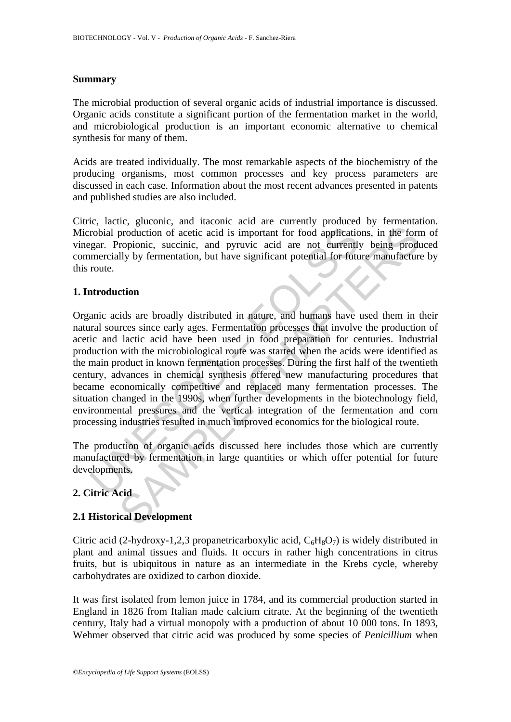# **Summary**

The microbial production of several organic acids of industrial importance is discussed. Organic acids constitute a significant portion of the fermentation market in the world, and microbiological production is an important economic alternative to chemical synthesis for many of them.

Acids are treated individually. The most remarkable aspects of the biochemistry of the producing organisms, most common processes and key process parameters are discussed in each case. Information about the most recent advances presented in patents and published studies are also included.

Citric, lactic, gluconic, and itaconic acid are currently produced by fermentation. Microbial production of acetic acid is important for food applications, in the form of vinegar. Propionic, succinic, and pyruvic acid are not currently being produced commercially by fermentation, but have significant potential for future manufacture by this route.

# **1. Introduction**

robial production of acetic acid is important for food applications<br>gar. Propionic, succinic, and pyruvic acid are not currently<br>mercially by fermentation, but have significant potential for future<br>rotations anic acids are Evaluation of acetic acid is important for food applications, in the formulation of acetic acid is important for food applications, in the formulation, executive, and pyrruvic acid are not currently being production of ace Organic acids are broadly distributed in nature, and humans have used them in their natural sources since early ages. Fermentation processes that involve the production of acetic and lactic acid have been used in food preparation for centuries. Industrial production with the microbiological route was started when the acids were identified as the main product in known fermentation processes. During the first half of the twentieth century, advances in chemical synthesis offered new manufacturing procedures that became economically competitive and replaced many fermentation processes. The situation changed in the 1990s, when further developments in the biotechnology field, environmental pressures and the vertical integration of the fermentation and corn processing industries resulted in much improved economics for the biological route.

The production of organic acids discussed here includes those which are currently manufactured by fermentation in large quantities or which offer potential for future developments.

# **2. Citric Acid**

# **2.1 Historical Development**

Citric acid (2-hydroxy-1,2,3 propanetricarboxylic acid,  $C_6H_8O_7$ ) is widely distributed in plant and animal tissues and fluids. It occurs in rather high concentrations in citrus fruits, but is ubiquitous in nature as an intermediate in the Krebs cycle, whereby carbohydrates are oxidized to carbon dioxide.

It was first isolated from lemon juice in 1784, and its commercial production started in England in 1826 from Italian made calcium citrate. At the beginning of the twentieth century, Italy had a virtual monopoly with a production of about 10 000 tons. In 1893, Wehmer observed that citric acid was produced by some species of *Penicillium* when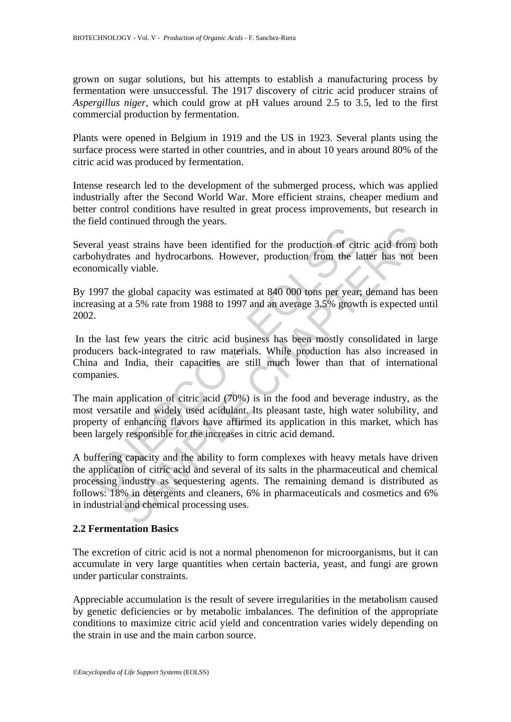grown on sugar solutions, but his attempts to establish a manufacturing process by fermentation were unsuccessful. The 1917 discovery of citric acid producer strains of *Aspergillus niger*, which could grow at pH values around 2.5 to 3.5, led to the first commercial production by fermentation.

Plants were opened in Belgium in 1919 and the US in 1923. Several plants using the surface process were started in other countries, and in about 10 years around 80% of the citric acid was produced by fermentation.

Intense research led to the development of the submerged process, which was applied industrially after the Second World War. More efficient strains, cheaper medium and better control conditions have resulted in great process improvements, but research in the field continued through the years.

Several yeast strains have been identified for the production of citric acid from both carbohydrates and hydrocarbons. However, production from the latter has not been economically viable.

By 1997 the global capacity was estimated at 840 000 tons per year; demand has been increasing at a 5% rate from 1988 to 1997 and an average 3.5% growth is expected until 2002.

 In the last few years the citric acid business has been mostly consolidated in large producers back-integrated to raw materials. While production has also increased in China and India, their capacities are still much lower than that of international companies.

eral yeast strains have been identified for the production of cit<br>oblydrates and hydrocarbons. However, production from the la<br>omically viable.<br>1997 the global capacity was estimated at 840 000 tons per year<br>easing at a 5% The main application of citric acid (70%) is in the food and beverage industry, as the most versatile and widely used acidulant. Its pleasant taste, high water solubility, and property of enhancing flavors have affirmed its application in this market, which has been largely responsible for the increases in citric acid demand.

and hydrocarbons. However, production of citric acid from last strains have been identified for the production of citric acid from lly viable.<br>If wiable, a global capacity was estimated at 840 000 tons per year; demand has A buffering capacity and the ability to form complexes with heavy metals have driven the application of citric acid and several of its salts in the pharmaceutical and chemical processing industry as sequestering agents. The remaining demand is distributed as follows: 18% in detergents and cleaners, 6% in pharmaceuticals and cosmetics and 6% in industrial and chemical processing uses.

# **2.2 Fermentation Basics**

The excretion of citric acid is not a normal phenomenon for microorganisms, but it can accumulate in very large quantities when certain bacteria, yeast, and fungi are grown under particular constraints.

Appreciable accumulation is the result of severe irregularities in the metabolism caused by genetic deficiencies or by metabolic imbalances. The definition of the appropriate conditions to maximize citric acid yield and concentration varies widely depending on the strain in use and the main carbon source.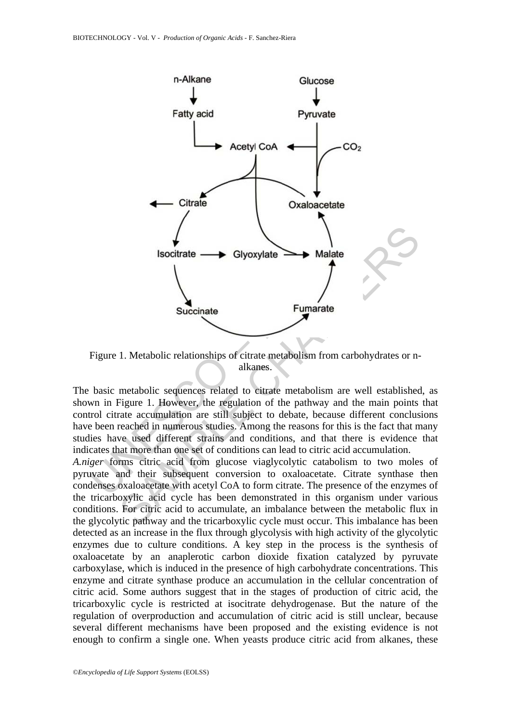

Figure 1. Metabolic relationships of citrate metabolism from carbohydrates or nalkanes.

The basic metabolic sequences related to citrate metabolism are well established, as shown in Figure 1. However, the regulation of the pathway and the main points that control citrate accumulation are still subject to debate, because different conclusions have been reached in numerous studies. Among the reasons for this is the fact that many studies have used different strains and conditions, and that there is evidence that indicates that more than one set of conditions can lead to citric acid accumulation.

*A.niger* forms citric acid from glucose viaglycolytic catabolism to two moles of pyruvate and their subsequent conversion to oxaloacetate. Citrate synthase then condenses oxaloacetate with acetyl CoA to form citrate. The presence of the enzymes of the tricarboxylic acid cycle has been demonstrated in this organism under various conditions. For citric acid to accumulate, an imbalance between the metabolic flux in the glycolytic pathway and the tricarboxylic cycle must occur. This imbalance has been detected as an increase in the flux through glycolysis with high activity of the glycolytic enzymes due to culture conditions. A key step in the process is the synthesis of oxaloacetate by an anaplerotic carbon dioxide fixation catalyzed by pyruvate carboxylase, which is induced in the presence of high carbohydrate concentrations. This enzyme and citrate synthase produce an accumulation in the cellular concentration of citric acid. Some authors suggest that in the stages of production of citric acid, the tricarboxylic cycle is restricted at isocitrate dehydrogenase. But the nature of the regulation of overproduction and accumulation of citric acid is still unclear, because several different mechanisms have been proposed and the existing evidence is not enough to confirm a single one. When yeasts produce citric acid from alkanes, these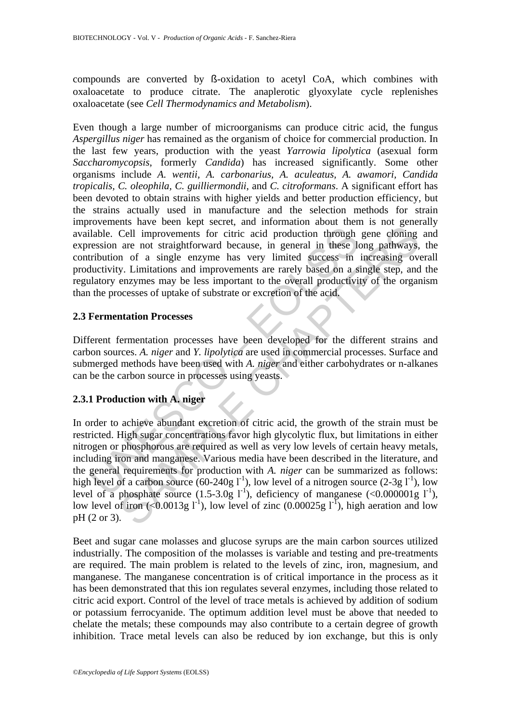compounds are converted by ß-oxidation to acetyl CoA, which combines with oxaloacetate to produce citrate. The anaplerotic glyoxylate cycle replenishes oxaloacetate (see *Cell Thermodynamics and Metabolism*).

Even though a large number of microorganisms can produce citric acid, the fungus *Aspergillus niger* has remained as the organism of choice for commercial production. In the last few years, production with the yeast *Yarrowia lipolytica* (asexual form *Saccharomycopsis*, formerly *Candida*) has increased significantly. Some other organisms include *A. wentii, A. carbonarius, A. aculeatus, A. awamori, Candida tropicalis, C. oleophila, C. guilliermondii*, and *C. citroformans*. A significant effort has been devoted to obtain strains with higher yields and better production efficiency, but the strains actually used in manufacture and the selection methods for strain improvements have been kept secret, and information about them is not generally available. Cell improvements for citric acid production through gene cloning and expression are not straightforward because, in general in these long pathways, the contribution of a single enzyme has very limited success in increasing overall productivity. Limitations and improvements are rarely based on a single step, and the regulatory enzymes may be less important to the overall productivity of the organism than the processes of uptake of substrate or excretion of the acid.

### **2.3 Fermentation Processes**

Different fermentation processes have been developed for the different strains and carbon sources. *A. niger* and *Y. lipolytica* are used in commercial processes. Surface and submerged methods have been used with *A. niger* and either carbohydrates or n-alkanes can be the carbon source in processes using yeasts.

# **2.3.1 Production with A. niger**

lable. Cell improvements for citric acid production through<br>ression are not straightforward because, in general in these left<br>induction of a single enzyme has very limited success in<br>the littivity. Limitations and improve Solution that the section of a single enzymon more and more and transmit of the single enzymon and introvements for citric acid production through gene cloning are not straightforward because, in general in these long pat In order to achieve abundant excretion of citric acid, the growth of the strain must be restricted. High sugar concentrations favor high glycolytic flux, but limitations in either nitrogen or phosphorous are required as well as very low levels of certain heavy metals, including iron and manganese. Various media have been described in the literature, and the general requirements for production with *A. niger* can be summarized as follows: high level of a carbon source (60-240g  $I<sup>-1</sup>$ ), low level of a nitrogen source (2-3g  $I<sup>-1</sup>$ ), low level of a phosphate source  $(1.5-3.0g \text{ } l^{\text{-}1})$ , deficiency of manganese  $(<0.000001g \text{ } l^{\text{-}1})$ , low level of iron (<0.0013g l<sup>-1</sup>), low level of zinc (0.00025g l<sup>-1</sup>), high aeration and low pH (2 or 3).

Beet and sugar cane molasses and glucose syrups are the main carbon sources utilized industrially. The composition of the molasses is variable and testing and pre-treatments are required. The main problem is related to the levels of zinc, iron, magnesium, and manganese. The manganese concentration is of critical importance in the process as it has been demonstrated that this ion regulates several enzymes, including those related to citric acid export. Control of the level of trace metals is achieved by addition of sodium or potassium ferrocyanide. The optimum addition level must be above that needed to chelate the metals; these compounds may also contribute to a certain degree of growth inhibition. Trace metal levels can also be reduced by ion exchange, but this is only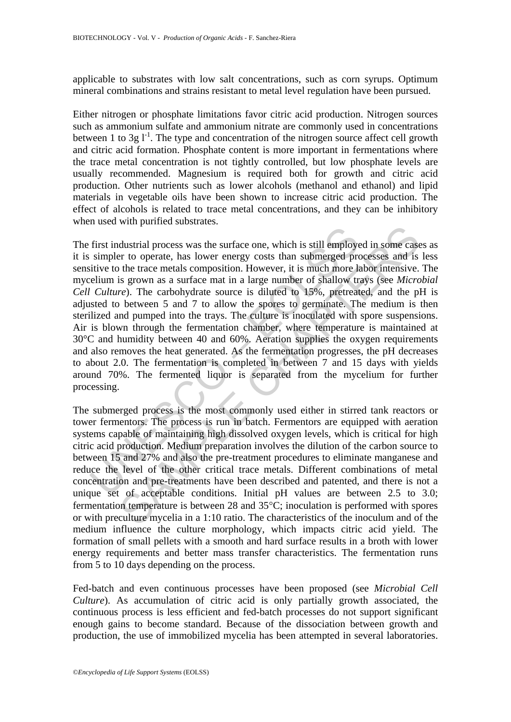applicable to substrates with low salt concentrations, such as corn syrups. Optimum mineral combinations and strains resistant to metal level regulation have been pursued.

Either nitrogen or phosphate limitations favor citric acid production. Nitrogen sources such as ammonium sulfate and ammonium nitrate are commonly used in concentrations between 1 to 3g  $I<sup>-1</sup>$ . The type and concentration of the nitrogen source affect cell growth and citric acid formation. Phosphate content is more important in fermentations where the trace metal concentration is not tightly controlled, but low phosphate levels are usually recommended. Magnesium is required both for growth and citric acid production. Other nutrients such as lower alcohols (methanol and ethanol) and lipid materials in vegetable oils have been shown to increase citric acid production. The effect of alcohols is related to trace metal concentrations, and they can be inhibitory when used with purified substrates.

First industrial process was the surface one, which is still employe<br>simpler to operate, has lower energy costs than submerged pre<br>itive to the trace metals composition. However, it is much more lat<br>eleilum is grown as a the process was the surface one, which is still employed in some case<br>the to to perate, has lower energy costs than submerged processes and is<br>is the trace metals composition. However, it is much more labor intensive.<br>is The first industrial process was the surface one, which is still employed in some cases as it is simpler to operate, has lower energy costs than submerged processes and is less sensitive to the trace metals composition. However, it is much more labor intensive. The mycelium is grown as a surface mat in a large number of shallow trays (see *Microbial Cell Culture*). The carbohydrate source is diluted to 15%, pretreated, and the pH is adjusted to between 5 and 7 to allow the spores to germinate. The medium is then sterilized and pumped into the trays. The culture is inoculated with spore suspensions. Air is blown through the fermentation chamber, where temperature is maintained at 30°C and humidity between 40 and 60%. Aeration supplies the oxygen requirements and also removes the heat generated. As the fermentation progresses, the pH decreases to about 2.0. The fermentation is completed in between 7 and 15 days with yields around 70%. The fermented liquor is separated from the mycelium for further processing.

The submerged process is the most commonly used either in stirred tank reactors or tower fermentors. The process is run in batch. Fermentors are equipped with aeration systems capable of maintaining high dissolved oxygen levels, which is critical for high citric acid production. Medium preparation involves the dilution of the carbon source to between 15 and 27% and also the pre-treatment procedures to eliminate manganese and reduce the level of the other critical trace metals. Different combinations of metal concentration and pre-treatments have been described and patented, and there is not a unique set of acceptable conditions. Initial pH values are between 2.5 to 3.0; fermentation temperature is between 28 and 35°C; inoculation is performed with spores or with preculture mycelia in a 1:10 ratio. The characteristics of the inoculum and of the medium influence the culture morphology, which impacts citric acid yield. The formation of small pellets with a smooth and hard surface results in a broth with lower energy requirements and better mass transfer characteristics. The fermentation runs from 5 to 10 days depending on the process.

Fed-batch and even continuous processes have been proposed (see *Microbial Cell Culture*). As accumulation of citric acid is only partially growth associated, the continuous process is less efficient and fed-batch processes do not support significant enough gains to become standard. Because of the dissociation between growth and production, the use of immobilized mycelia has been attempted in several laboratories.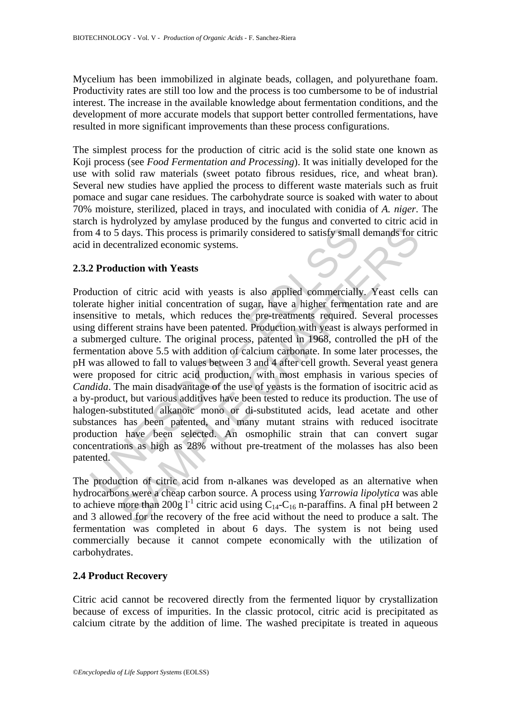Mycelium has been immobilized in alginate beads, collagen, and polyurethane foam. Productivity rates are still too low and the process is too cumbersome to be of industrial interest. The increase in the available knowledge about fermentation conditions, and the development of more accurate models that support better controlled fermentations, have resulted in more significant improvements than these process configurations.

The simplest process for the production of citric acid is the solid state one known as Koji process (see *Food Fermentation and Processing*). It was initially developed for the use with solid raw materials (sweet potato fibrous residues, rice, and wheat bran). Several new studies have applied the process to different waste materials such as fruit pomace and sugar cane residues. The carbohydrate source is soaked with water to about 70% moisture, sterilized, placed in trays, and inoculated with conidia of *A. niger*. The starch is hydrolyzed by amylase produced by the fungus and converted to citric acid in from 4 to 5 days. This process is primarily considered to satisfy small demands for citric acid in decentralized economic systems.

# **2.3.2 Production with Yeasts**

In the control of states.<br>
A 4 to 5 days. This process is primarily considered to satisfy small<br>
in decentralized economic systems.<br>
2 **Production with Yeasts**<br>
2 **Production with Yeasts**<br>
2 **Production with Yeasts**<br>
2 **Pr** days. This process is primarily considered to satisfy small demands for c<br>days. This process is primarily considered to satisfy small demands for c<br>entralized economic systems.<br>
uction with Yeasts<br>
of citric acid with yea Production of citric acid with yeasts is also applied commercially. Yeast cells can tolerate higher initial concentration of sugar, have a higher fermentation rate and are insensitive to metals, which reduces the pre-treatments required. Several processes using different strains have been patented. Production with yeast is always performed in a submerged culture. The original process, patented in 1968, controlled the pH of the fermentation above 5.5 with addition of calcium carbonate. In some later processes, the pH was allowed to fall to values between 3 and 4 after cell growth. Several yeast genera were proposed for citric acid production, with most emphasis in various species of *Candida*. The main disadvantage of the use of yeasts is the formation of isocitric acid as a by-product, but various additives have been tested to reduce its production. The use of halogen-substituted alkanoic mono or di-substituted acids, lead acetate and other substances has been patented, and many mutant strains with reduced isocitrate production have been selected. An osmophilic strain that can convert sugar concentrations as high as 28% without pre-treatment of the molasses has also been patented.

The production of citric acid from n-alkanes was developed as an alternative when hydrocarbons were a cheap carbon source. A process using *Yarrowia lipolytica* was able to achieve more than 200g  $I^{-1}$  citric acid using  $C_{14}$ - $C_{16}$  n-paraffins. A final pH between 2 and 3 allowed for the recovery of the free acid without the need to produce a salt. The fermentation was completed in about 6 days. The system is not being used commercially because it cannot compete economically with the utilization of carbohydrates.

# **2.4 Product Recovery**

Citric acid cannot be recovered directly from the fermented liquor by crystallization because of excess of impurities. In the classic protocol, citric acid is precipitated as calcium citrate by the addition of lime. The washed precipitate is treated in aqueous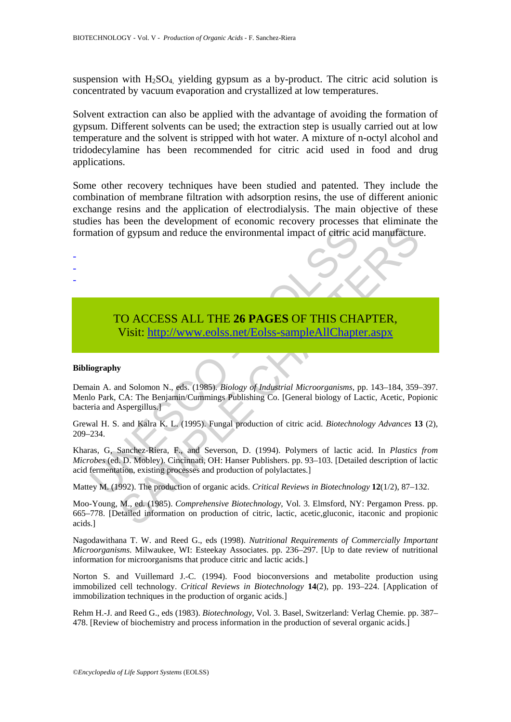suspension with  $H_2SO_4$ , yielding gypsum as a by-product. The citric acid solution is concentrated by vacuum evaporation and crystallized at low temperatures.

Solvent extraction can also be applied with the advantage of avoiding the formation of gypsum. Different solvents can be used; the extraction step is usually carried out at low temperature and the solvent is stripped with hot water. A mixture of n-octyl alcohol and tridodecylamine has been recommended for citric acid used in food and drug applications.

Some other recovery techniques have been studied and patented. They include the combination of membrane filtration with adsorption resins, the use of different anionic exchange resins and the application of electrodialysis. The main objective of these studies has been the development of economic recovery processes that eliminate the formation of gypsum and reduce the environmental impact of citric acid manufacture.

# TO ACCESS ALL THE **26 PAGES** OF THIS CHAPTER, Visit: http://www.eolss.net/Eolss-sampleAllChapter.aspx

#### **Bibliography**

- - -

Demain A. and Solomon N., eds. (1985). *Biology of Industrial Microorganisms,* pp. 143–184, 359–397. Menlo Park, CA: The Benjamin/Cummings Publishing Co. [General biology of Lactic, Acetic, Popionic bacteria and Aspergillus.]

Grewal H. S. and Kalra K. L. (1995). Fungal production of citric acid. *Biotechnology Advances* **13** (2), 209–234.

mation of gypsum and reduce the environmental impact of eitric action<br>
TO ACCESS ALL THE 26 PAGES OF THIS CHA<br>
Visit: http://www.eolss.net/Eolss-sampleAllChapte<br>
iography<br>
ain A. and Solomon N., eds. (1985). Biology of Ind CALCESS ALL THE 26 PAGES OF THIS C[HAP](https://www.eolss.net/ebooklib/sc_cart.aspx?File=E6-58-05-03)TER,<br>
The same and reduce the environmental impact of eitric acid manufacture<br>
Suppose and Figure 20 PAGES OF THIS CHAPTER,<br>
Visit: http://www.eolss.net/Eolss-sampleAllChapter.aspx<br>
or Kharas, G, Sanchez-Riera, F., and Severson, D. (1994). Polymers of lactic acid. In *Plastics from Microbes* (ed. D. Mobley). Cincinnati, OH: Hanser Publishers. pp. 93–103. [Detailed description of lactic acid fermentation, existing processes and production of polylactates.]

Mattey M. (1992). The production of organic acids. *Critical Reviews in Biotechnology* **12**(1/2), 87–132.

Moo-Young, M., ed. (1985). *Comprehensive Biotechnology*, Vol. 3. Elmsford, NY: Pergamon Press. pp. 665–778. [Detailed information on production of citric, lactic, acetic,gluconic, itaconic and propionic acids.]

Nagodawithana T. W. and Reed G., eds (1998). *Nutritional Requirements of Commercially Important Microorganisms*. Milwaukee, WI: Esteekay Associates. pp. 236–297. [Up to date review of nutritional information for microorganisms that produce citric and lactic acids.]

Norton S. and Vuillemard J.-C. (1994). Food bioconversions and metabolite production using immobilized cell technology. *Critical Reviews in Biotechnology* **14**(2), pp. 193–224. [Application of immobilization techniques in the production of organic acids.]

Rehm H.-J. and Reed G., eds (1983). *Biotechnology*, Vol. 3. Basel, Switzerland: Verlag Chemie. pp. 387– 478. [Review of biochemistry and process information in the production of several organic acids.]